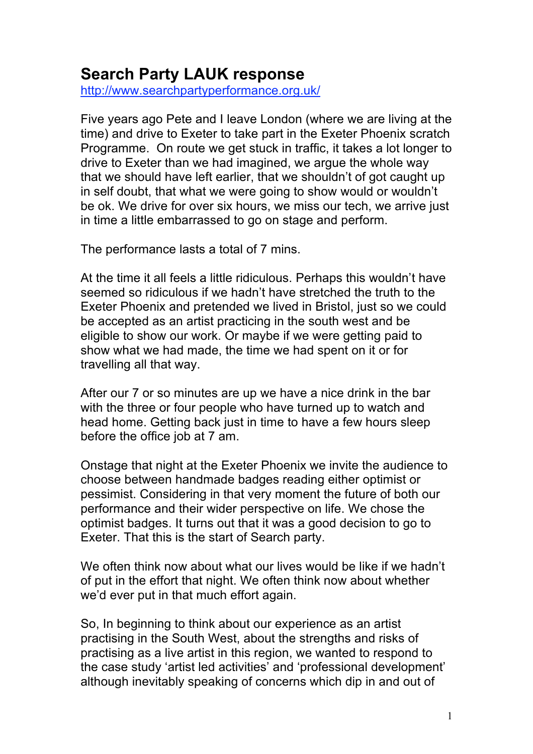## **Search Party LAUK response**

http://www.searchpartyperformance.org.uk/

Five years ago Pete and I leave London (where we are living at the time) and drive to Exeter to take part in the Exeter Phoenix scratch Programme. On route we get stuck in traffic, it takes a lot longer to drive to Exeter than we had imagined, we argue the whole way that we should have left earlier, that we shouldn't of got caught up in self doubt, that what we were going to show would or wouldn't be ok. We drive for over six hours, we miss our tech, we arrive just in time a little embarrassed to go on stage and perform.

The performance lasts a total of 7 mins.

At the time it all feels a little ridiculous. Perhaps this wouldn't have seemed so ridiculous if we hadn't have stretched the truth to the Exeter Phoenix and pretended we lived in Bristol, just so we could be accepted as an artist practicing in the south west and be eligible to show our work. Or maybe if we were getting paid to show what we had made, the time we had spent on it or for travelling all that way.

After our 7 or so minutes are up we have a nice drink in the bar with the three or four people who have turned up to watch and head home. Getting back just in time to have a few hours sleep before the office job at 7 am.

Onstage that night at the Exeter Phoenix we invite the audience to choose between handmade badges reading either optimist or pessimist. Considering in that very moment the future of both our performance and their wider perspective on life. We chose the optimist badges. It turns out that it was a good decision to go to Exeter. That this is the start of Search party.

We often think now about what our lives would be like if we hadn't of put in the effort that night. We often think now about whether we'd ever put in that much effort again.

So, In beginning to think about our experience as an artist practising in the South West, about the strengths and risks of practising as a live artist in this region, we wanted to respond to the case study 'artist led activities' and 'professional development' although inevitably speaking of concerns which dip in and out of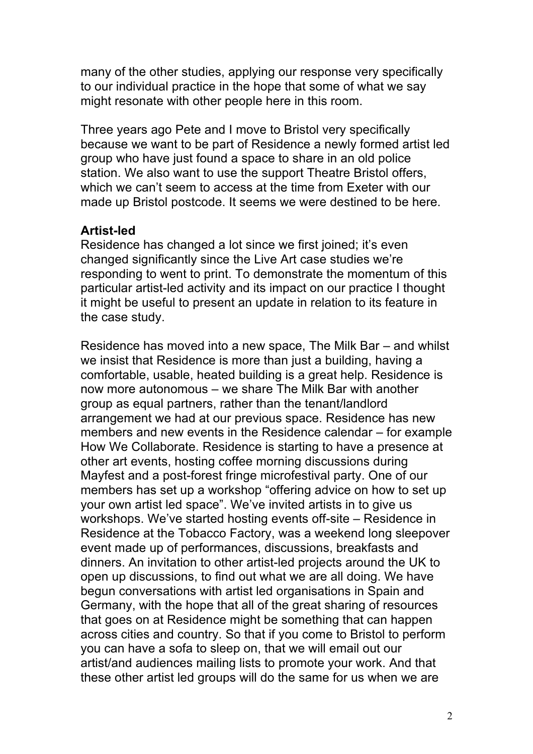many of the other studies, applying our response very specifically to our individual practice in the hope that some of what we say might resonate with other people here in this room.

Three years ago Pete and I move to Bristol very specifically because we want to be part of Residence a newly formed artist led group who have just found a space to share in an old police station. We also want to use the support Theatre Bristol offers, which we can't seem to access at the time from Exeter with our made up Bristol postcode. It seems we were destined to be here.

## **Artist-led**

Residence has changed a lot since we first joined; it's even changed significantly since the Live Art case studies we're responding to went to print. To demonstrate the momentum of this particular artist-led activity and its impact on our practice I thought it might be useful to present an update in relation to its feature in the case study.

Residence has moved into a new space, The Milk Bar – and whilst we insist that Residence is more than just a building, having a comfortable, usable, heated building is a great help. Residence is now more autonomous – we share The Milk Bar with another group as equal partners, rather than the tenant/landlord arrangement we had at our previous space. Residence has new members and new events in the Residence calendar – for example How We Collaborate. Residence is starting to have a presence at other art events, hosting coffee morning discussions during Mayfest and a post-forest fringe microfestival party. One of our members has set up a workshop "offering advice on how to set up your own artist led space". We've invited artists in to give us workshops. We've started hosting events off-site – Residence in Residence at the Tobacco Factory, was a weekend long sleepover event made up of performances, discussions, breakfasts and dinners. An invitation to other artist-led projects around the UK to open up discussions, to find out what we are all doing. We have begun conversations with artist led organisations in Spain and Germany, with the hope that all of the great sharing of resources that goes on at Residence might be something that can happen across cities and country. So that if you come to Bristol to perform you can have a sofa to sleep on, that we will email out our artist/and audiences mailing lists to promote your work. And that these other artist led groups will do the same for us when we are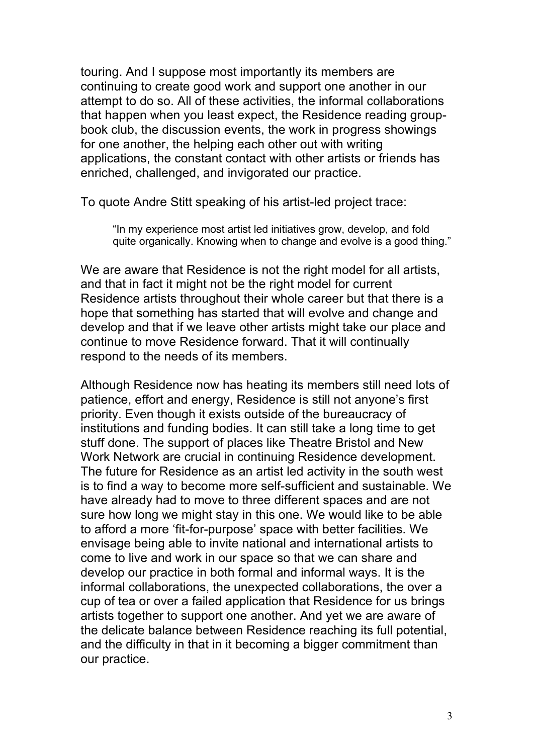touring. And I suppose most importantly its members are continuing to create good work and support one another in our attempt to do so. All of these activities, the informal collaborations that happen when you least expect, the Residence reading groupbook club, the discussion events, the work in progress showings for one another, the helping each other out with writing applications, the constant contact with other artists or friends has enriched, challenged, and invigorated our practice.

To quote Andre Stitt speaking of his artist-led project trace:

"In my experience most artist led initiatives grow, develop, and fold quite organically. Knowing when to change and evolve is a good thing."

We are aware that Residence is not the right model for all artists, and that in fact it might not be the right model for current Residence artists throughout their whole career but that there is a hope that something has started that will evolve and change and develop and that if we leave other artists might take our place and continue to move Residence forward. That it will continually respond to the needs of its members.

Although Residence now has heating its members still need lots of patience, effort and energy, Residence is still not anyone's first priority. Even though it exists outside of the bureaucracy of institutions and funding bodies. It can still take a long time to get stuff done. The support of places like Theatre Bristol and New Work Network are crucial in continuing Residence development. The future for Residence as an artist led activity in the south west is to find a way to become more self-sufficient and sustainable. We have already had to move to three different spaces and are not sure how long we might stay in this one. We would like to be able to afford a more 'fit-for-purpose' space with better facilities. We envisage being able to invite national and international artists to come to live and work in our space so that we can share and develop our practice in both formal and informal ways. It is the informal collaborations, the unexpected collaborations, the over a cup of tea or over a failed application that Residence for us brings artists together to support one another. And yet we are aware of the delicate balance between Residence reaching its full potential, and the difficulty in that in it becoming a bigger commitment than our practice.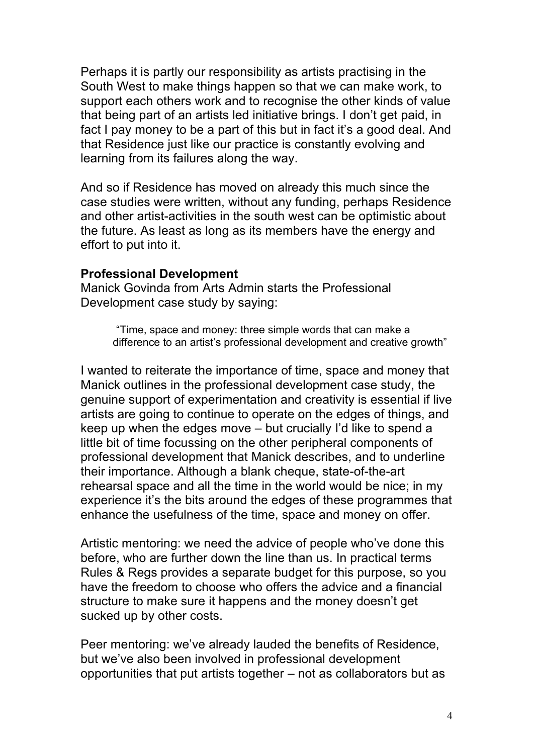Perhaps it is partly our responsibility as artists practising in the South West to make things happen so that we can make work, to support each others work and to recognise the other kinds of value that being part of an artists led initiative brings. I don't get paid, in fact I pay money to be a part of this but in fact it's a good deal. And that Residence just like our practice is constantly evolving and learning from its failures along the way.

And so if Residence has moved on already this much since the case studies were written, without any funding, perhaps Residence and other artist-activities in the south west can be optimistic about the future. As least as long as its members have the energy and effort to put into it.

## **Professional Development**

Manick Govinda from Arts Admin starts the Professional Development case study by saying:

> "Time, space and money: three simple words that can make a difference to an artist's professional development and creative growth"

I wanted to reiterate the importance of time, space and money that Manick outlines in the professional development case study, the genuine support of experimentation and creativity is essential if live artists are going to continue to operate on the edges of things, and keep up when the edges move – but crucially I'd like to spend a little bit of time focussing on the other peripheral components of professional development that Manick describes, and to underline their importance. Although a blank cheque, state-of-the-art rehearsal space and all the time in the world would be nice; in my experience it's the bits around the edges of these programmes that enhance the usefulness of the time, space and money on offer.

Artistic mentoring: we need the advice of people who've done this before, who are further down the line than us. In practical terms Rules & Regs provides a separate budget for this purpose, so you have the freedom to choose who offers the advice and a financial structure to make sure it happens and the money doesn't get sucked up by other costs.

Peer mentoring: we've already lauded the benefits of Residence, but we've also been involved in professional development opportunities that put artists together – not as collaborators but as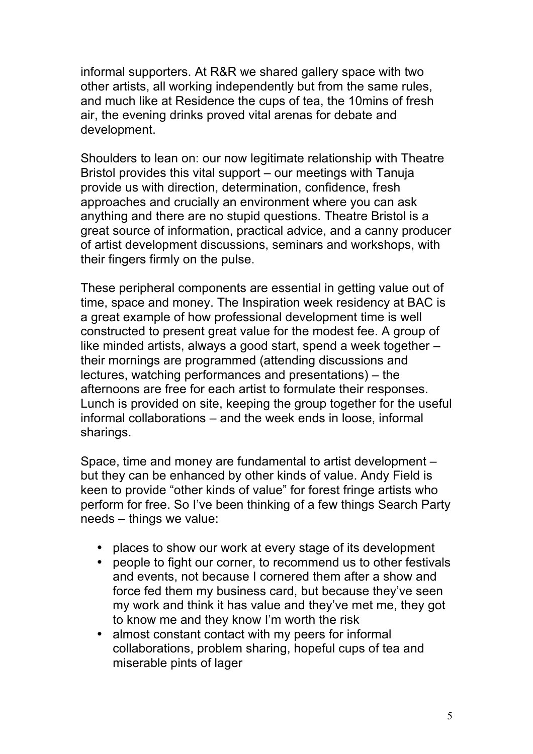informal supporters. At R&R we shared gallery space with two other artists, all working independently but from the same rules, and much like at Residence the cups of tea, the 10mins of fresh air, the evening drinks proved vital arenas for debate and development.

Shoulders to lean on: our now legitimate relationship with Theatre Bristol provides this vital support – our meetings with Tanuja provide us with direction, determination, confidence, fresh approaches and crucially an environment where you can ask anything and there are no stupid questions. Theatre Bristol is a great source of information, practical advice, and a canny producer of artist development discussions, seminars and workshops, with their fingers firmly on the pulse.

These peripheral components are essential in getting value out of time, space and money. The Inspiration week residency at BAC is a great example of how professional development time is well constructed to present great value for the modest fee. A group of like minded artists, always a good start, spend a week together – their mornings are programmed (attending discussions and lectures, watching performances and presentations) – the afternoons are free for each artist to formulate their responses. Lunch is provided on site, keeping the group together for the useful informal collaborations – and the week ends in loose, informal sharings.

Space, time and money are fundamental to artist development – but they can be enhanced by other kinds of value. Andy Field is keen to provide "other kinds of value" for forest fringe artists who perform for free. So I've been thinking of a few things Search Party needs – things we value:

- places to show our work at every stage of its development
- people to fight our corner, to recommend us to other festivals and events, not because I cornered them after a show and force fed them my business card, but because they've seen my work and think it has value and they've met me, they got to know me and they know I'm worth the risk
- almost constant contact with my peers for informal collaborations, problem sharing, hopeful cups of tea and miserable pints of lager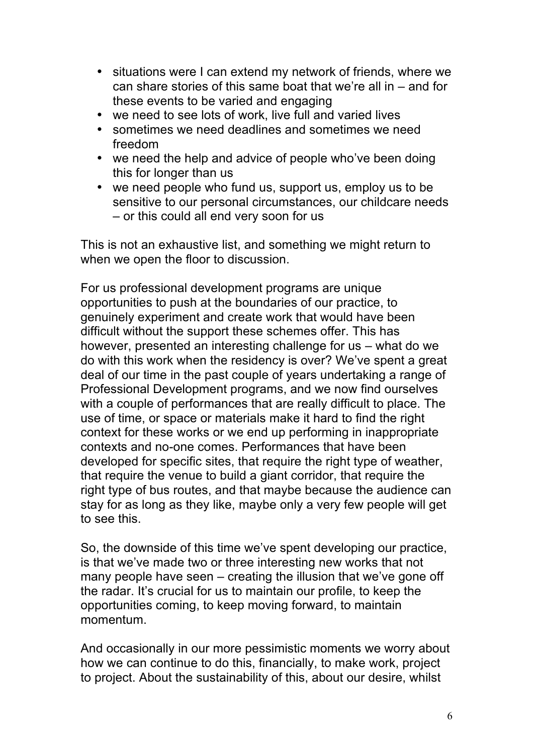- situations were I can extend my network of friends, where we can share stories of this same boat that we're all in – and for these events to be varied and engaging
- we need to see lots of work, live full and varied lives
- sometimes we need deadlines and sometimes we need freedom
- we need the help and advice of people who've been doing this for longer than us
- we need people who fund us, support us, employ us to be sensitive to our personal circumstances, our childcare needs – or this could all end very soon for us

This is not an exhaustive list, and something we might return to when we open the floor to discussion.

For us professional development programs are unique opportunities to push at the boundaries of our practice, to genuinely experiment and create work that would have been difficult without the support these schemes offer. This has however, presented an interesting challenge for us – what do we do with this work when the residency is over? We've spent a great deal of our time in the past couple of years undertaking a range of Professional Development programs, and we now find ourselves with a couple of performances that are really difficult to place. The use of time, or space or materials make it hard to find the right context for these works or we end up performing in inappropriate contexts and no-one comes. Performances that have been developed for specific sites, that require the right type of weather, that require the venue to build a giant corridor, that require the right type of bus routes, and that maybe because the audience can stay for as long as they like, maybe only a very few people will get to see this.

So, the downside of this time we've spent developing our practice, is that we've made two or three interesting new works that not many people have seen – creating the illusion that we've gone off the radar. It's crucial for us to maintain our profile, to keep the opportunities coming, to keep moving forward, to maintain momentum.

And occasionally in our more pessimistic moments we worry about how we can continue to do this, financially, to make work, project to project. About the sustainability of this, about our desire, whilst